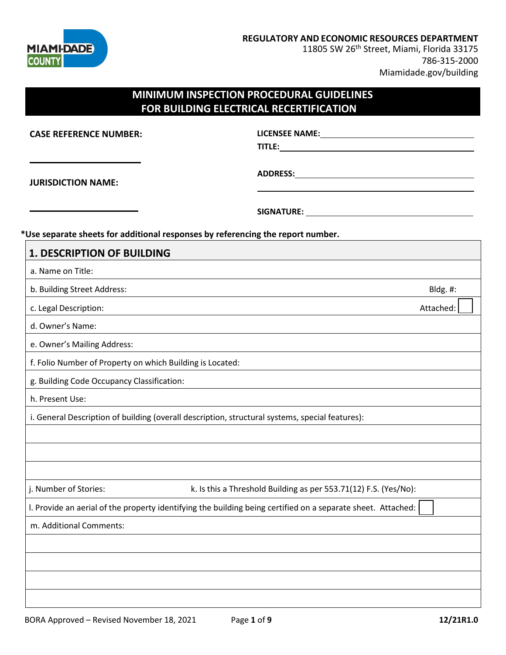

**ADDRESS:**

11805 SW 26<sup>th</sup> Street, Miami, Florida 33175 786-315-2000 Miamidade.gov/building

## **MINIMUM INSPECTION PROCEDURAL GUIDELINES FOR BUILDING ELECTRICAL RECERTIFICATION**

**CASE REFERENCE NUMBER:**

**LICENSEE NAME: TITLE:**

**JURISDICTION NAME:**

**SIGNATURE:** 

#### **\*Use separate sheets for additional responses by referencing the report number.**

| <b>1. DESCRIPTION OF BUILDING</b>                         |                                                                                                              |           |
|-----------------------------------------------------------|--------------------------------------------------------------------------------------------------------------|-----------|
| a. Name on Title:                                         |                                                                                                              |           |
| b. Building Street Address:                               |                                                                                                              | Bldg. #:  |
| c. Legal Description:                                     |                                                                                                              | Attached: |
| d. Owner's Name:                                          |                                                                                                              |           |
| e. Owner's Mailing Address:                               |                                                                                                              |           |
| f. Folio Number of Property on which Building is Located: |                                                                                                              |           |
| g. Building Code Occupancy Classification:                |                                                                                                              |           |
| h. Present Use:                                           |                                                                                                              |           |
|                                                           | i. General Description of building (overall description, structural systems, special features):              |           |
|                                                           |                                                                                                              |           |
|                                                           |                                                                                                              |           |
|                                                           |                                                                                                              |           |
| j. Number of Stories:                                     | k. Is this a Threshold Building as per 553.71(12) F.S. (Yes/No):                                             |           |
|                                                           | I. Provide an aerial of the property identifying the building being certified on a separate sheet. Attached: |           |
| m. Additional Comments:                                   |                                                                                                              |           |
|                                                           |                                                                                                              |           |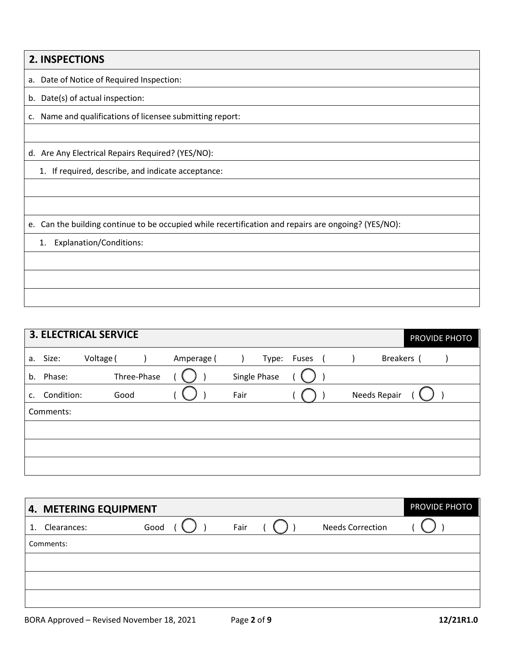| 2. INSPECTIONS                                                                                       |
|------------------------------------------------------------------------------------------------------|
| Date of Notice of Required Inspection:<br>а.                                                         |
| b. Date(s) of actual inspection:                                                                     |
| Name and qualifications of licensee submitting report:<br>C.                                         |
|                                                                                                      |
| d. Are Any Electrical Repairs Required? (YES/NO):                                                    |
| 1. If required, describe, and indicate acceptance:                                                   |
|                                                                                                      |
|                                                                                                      |
| e. Can the building continue to be occupied while recertification and repairs are ongoing? (YES/NO): |
| <b>Explanation/Conditions:</b><br>1.                                                                 |
|                                                                                                      |
|                                                                                                      |
|                                                                                                      |

|    |            | <b>3. ELECTRICAL SERVICE</b> |            |              |             |              | PROVIDE PHOTO |
|----|------------|------------------------------|------------|--------------|-------------|--------------|---------------|
|    | a. Size:   | Voltage (                    | Amperage ( |              | Type: Fuses | Breakers (   |               |
| b. | Phase:     | Three-Phase                  |            | Single Phase |             |              |               |
| c. | Condition: | Good                         |            | Fair         |             | Needs Repair |               |
|    | Comments:  |                              |            |              |             |              |               |
|    |            |                              |            |              |             |              |               |
|    |            |                              |            |              |             |              |               |
|    |            |                              |            |              |             |              |               |

| 4. METERING EQUIPMENT | PROVIDE PHOTO |      |                         |  |
|-----------------------|---------------|------|-------------------------|--|
| Clearances:<br>1.     | Good          | Fair | <b>Needs Correction</b> |  |
| Comments:             |               |      |                         |  |
|                       |               |      |                         |  |
|                       |               |      |                         |  |
|                       |               |      |                         |  |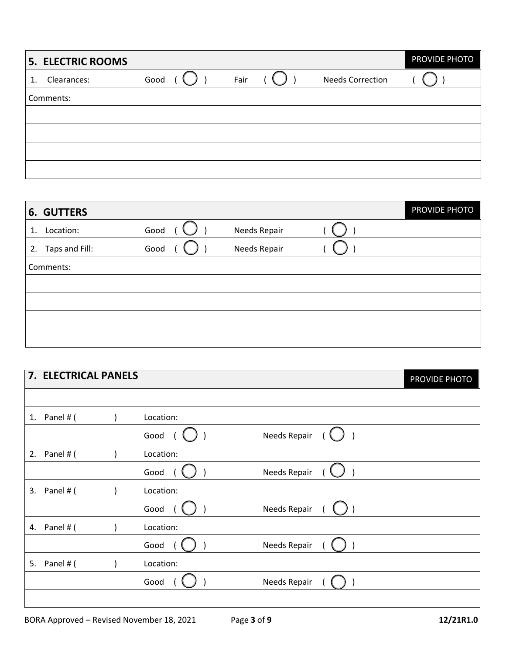|    | 5. ELECTRIC ROOMS |      |      |                         | PROVIDE PHOTO |
|----|-------------------|------|------|-------------------------|---------------|
| 1. | Clearances:       | Good | Fair | <b>Needs Correction</b> |               |
|    | Comments:         |      |      |                         |               |
|    |                   |      |      |                         |               |
|    |                   |      |      |                         |               |
|    |                   |      |      |                         |               |
|    |                   |      |      |                         |               |

|    | <b>6. GUTTERS</b> |      |              | PROVIDE PHOTO |
|----|-------------------|------|--------------|---------------|
| 1. | Location:         | Good | Needs Repair |               |
| 2. | Taps and Fill:    | Good | Needs Repair |               |
|    | Comments:         |      |              |               |
|    |                   |      |              |               |
|    |                   |      |              |               |
|    |                   |      |              |               |
|    |                   |      |              |               |

|    | 7. ELECTRICAL PANELS |           |              | PROVIDE PHOTO |
|----|----------------------|-----------|--------------|---------------|
|    |                      |           |              |               |
|    | 1. Panel # $($       | Location: |              |               |
|    |                      | Good      | Needs Repair |               |
| 2. | Panel # (            | Location: |              |               |
|    |                      | Good      | Needs Repair |               |
| 3. | Panel # (            | Location: |              |               |
|    |                      | Good      | Needs Repair |               |
| 4. | Panel # (            | Location: |              |               |
|    |                      | Good      | Needs Repair |               |
| 5. | Panel # (            | Location: |              |               |
|    |                      | Good      | Needs Repair |               |
|    |                      |           |              |               |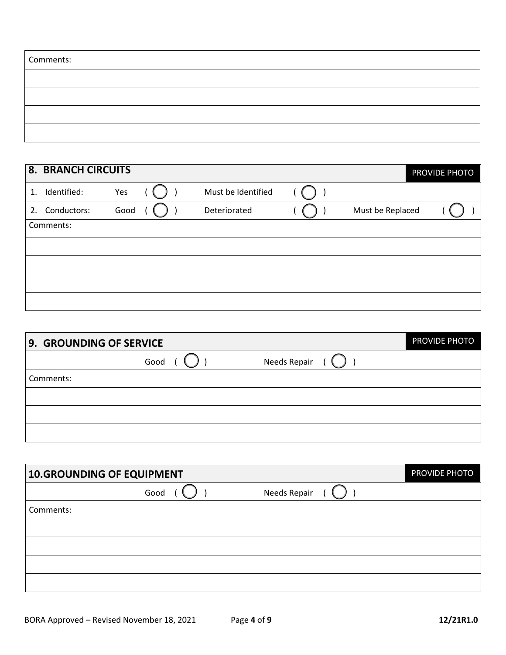| Comments: |  |
|-----------|--|
|           |  |
|           |  |
|           |  |
|           |  |

|    | <b>8. BRANCH CIRCUITS</b> |      |                    |                  | <b>PROVIDE PHOTO</b> |
|----|---------------------------|------|--------------------|------------------|----------------------|
| 1. | Identified:               | Yes  | Must be Identified |                  |                      |
| 2. | Conductors:               | Good | Deteriorated       | Must be Replaced |                      |
|    | Comments:                 |      |                    |                  |                      |
|    |                           |      |                    |                  |                      |
|    |                           |      |                    |                  |                      |
|    |                           |      |                    |                  |                      |
|    |                           |      |                    |                  |                      |

| 9. GROUNDING OF SERVICE |      |              | PROVIDE PHOTO |
|-------------------------|------|--------------|---------------|
|                         | Good | Needs Repair |               |
| Comments:               |      |              |               |
|                         |      |              |               |
|                         |      |              |               |
|                         |      |              |               |

| 10.GROUNDING OF EQUIPMENT | PROVIDE PHOTO |              |  |
|---------------------------|---------------|--------------|--|
|                           | Good          | Needs Repair |  |
| Comments:                 |               |              |  |
|                           |               |              |  |
|                           |               |              |  |
|                           |               |              |  |
|                           |               |              |  |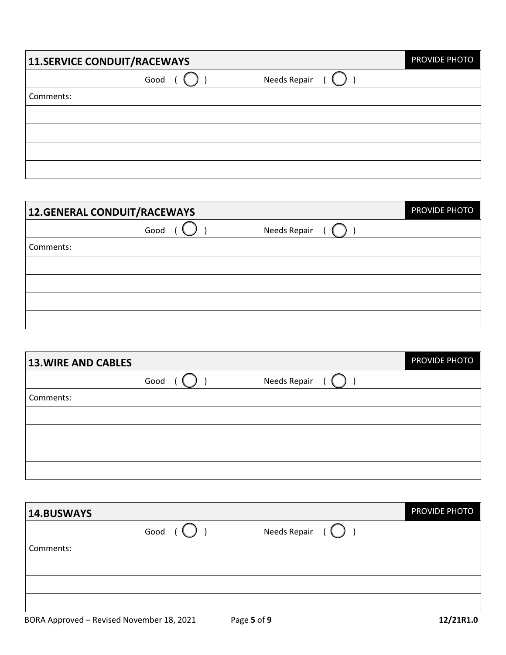| 11.SERVICE CONDUIT/RACEWAYS |      |              | PROVIDE PHOTO |
|-----------------------------|------|--------------|---------------|
|                             | Good | Needs Repair |               |
| Comments:                   |      |              |               |
|                             |      |              |               |
|                             |      |              |               |
|                             |      |              |               |
|                             |      |              |               |

| 12.GENERAL CONDUIT/RACEWAYS |      |              | PROVIDE PHOTO |
|-----------------------------|------|--------------|---------------|
|                             | Good | Needs Repair |               |
| Comments:                   |      |              |               |
|                             |      |              |               |
|                             |      |              |               |
|                             |      |              |               |
|                             |      |              |               |

| <b>13. WIRE AND CABLES</b> |      |              | PROVIDE PHOTO |
|----------------------------|------|--------------|---------------|
|                            | Good | Needs Repair |               |
| Comments:                  |      |              |               |
|                            |      |              |               |
|                            |      |              |               |
|                            |      |              |               |
|                            |      |              |               |

| 14.BUSWAYS |      |              | <b>PROVIDE PHOTO</b> |
|------------|------|--------------|----------------------|
|            | Good | Needs Repair |                      |
| Comments:  |      |              |                      |
|            |      |              |                      |
|            |      |              |                      |
|            |      |              |                      |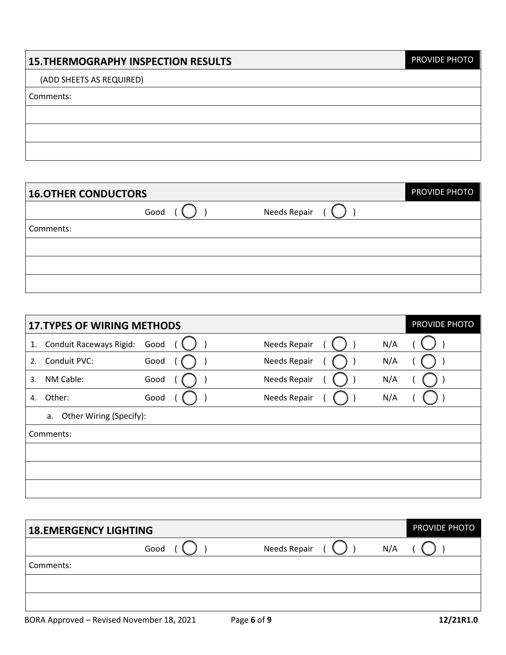# **15.THERMOGRAPHY INSPECTION RESULTS**

PROVIDE PHOTO

### (ADD SHEETS AS REQUIRED)

#### Comments:

| <b>16.OTHER CONDUCTORS</b> |      |              | PROVIDE PHOTO |
|----------------------------|------|--------------|---------------|
|                            | Good | Needs Repair |               |
| Comments:                  |      |              |               |
|                            |      |              |               |
|                            |      |              |               |
|                            |      |              |               |

|    | <b>17. TYPES OF WIRING METHODS</b> |      |  |              |     | PROVIDE PHOTO |
|----|------------------------------------|------|--|--------------|-----|---------------|
| 1. | Conduit Raceways Rigid:            | Good |  | Needs Repair | N/A |               |
| 2. | Conduit PVC:                       | Good |  | Needs Repair | N/A |               |
| 3. | NM Cable:                          | Good |  | Needs Repair | N/A |               |
| 4. | Other:                             | Good |  | Needs Repair | N/A |               |
|    | Other Wiring (Specify):<br>a.      |      |  |              |     |               |
|    | Comments:                          |      |  |              |     |               |
|    |                                    |      |  |              |     |               |
|    |                                    |      |  |              |     |               |
|    |                                    |      |  |              |     |               |

| <b>18.EMERGENCY LIGHTING</b> |      |              |     | PROVIDE PHOTO |
|------------------------------|------|--------------|-----|---------------|
|                              | Good | Needs Repair | N/A |               |
| Comments:                    |      |              |     |               |
|                              |      |              |     |               |
|                              |      |              |     |               |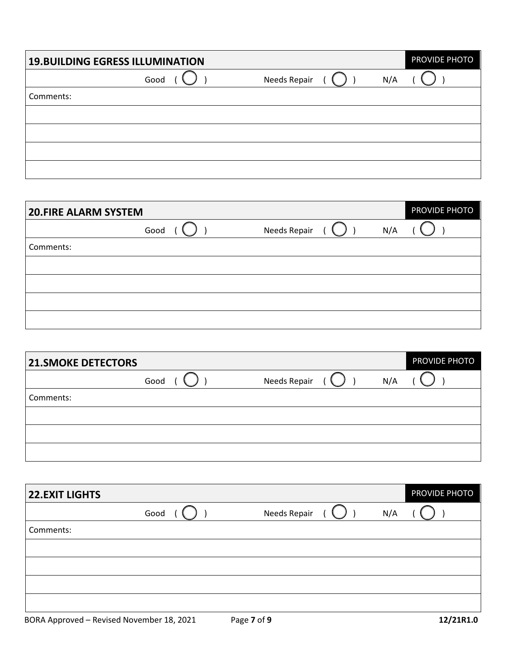|           | <b>19. BUILDING EGRESS ILLUMINATION</b> |              | PROVIDE PHOTO |
|-----------|-----------------------------------------|--------------|---------------|
|           | Good                                    | Needs Repair | N/A           |
| Comments: |                                         |              |               |
|           |                                         |              |               |
|           |                                         |              |               |
|           |                                         |              |               |
|           |                                         |              |               |

| <b>20.FIRE ALARM SYSTEM</b> |      |              |     | PROVIDE PHOTO |
|-----------------------------|------|--------------|-----|---------------|
|                             | Good | Needs Repair | N/A |               |
| Comments:                   |      |              |     |               |
|                             |      |              |     |               |
|                             |      |              |     |               |
|                             |      |              |     |               |
|                             |      |              |     |               |

| <b>21.SMOKE DETECTORS</b> |      |              |     | PROVIDE PHOTO |
|---------------------------|------|--------------|-----|---------------|
|                           | Good | Needs Repair | N/A |               |
| Comments:                 |      |              |     |               |
|                           |      |              |     |               |
|                           |      |              |     |               |
|                           |      |              |     |               |

| <b>22.EXIT LIGHTS</b> |      |              |     | PROVIDE PHOTO |
|-----------------------|------|--------------|-----|---------------|
|                       | Good | Needs Repair | N/A |               |
| Comments:             |      |              |     |               |
|                       |      |              |     |               |
|                       |      |              |     |               |
|                       |      |              |     |               |
|                       |      |              |     |               |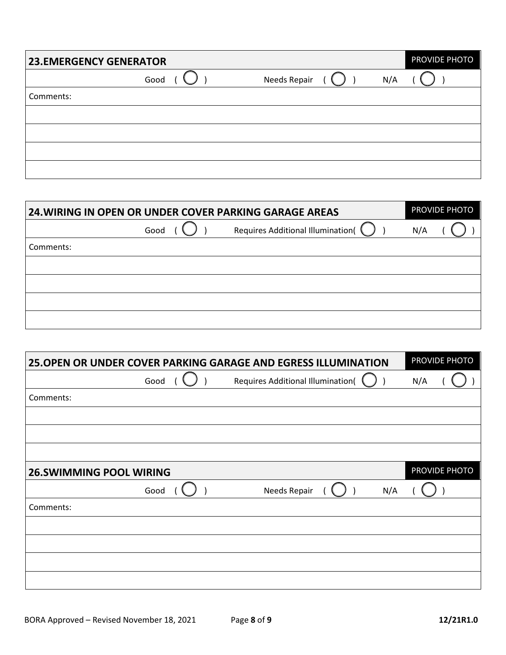| <b>23.EMERGENCY GENERATOR</b> |      |              | PROVIDE PHOTO |
|-------------------------------|------|--------------|---------------|
|                               | Good | Needs Repair | N/A           |
| Comments:                     |      |              |               |
|                               |      |              |               |
|                               |      |              |               |
|                               |      |              |               |
|                               |      |              |               |

| <b>24. WIRING IN OPEN OR UNDER COVER PARKING GARAGE AREAS</b> |      |                                   |     | PROVIDE PHOTO |
|---------------------------------------------------------------|------|-----------------------------------|-----|---------------|
|                                                               | Good | Requires Additional Illumination( | N/A |               |
| Comments:                                                     |      |                                   |     |               |
|                                                               |      |                                   |     |               |
|                                                               |      |                                   |     |               |
|                                                               |      |                                   |     |               |
|                                                               |      |                                   |     |               |

| 25. OPEN OR UNDER COVER PARKING GARAGE AND EGRESS ILLUMINATION | PROVIDE PHOTO |                                          |               |
|----------------------------------------------------------------|---------------|------------------------------------------|---------------|
|                                                                | Good          | <b>Requires Additional Illumination(</b> | N/A           |
| Comments:                                                      |               |                                          |               |
|                                                                |               |                                          |               |
|                                                                |               |                                          |               |
|                                                                |               |                                          |               |
| <b>26.SWIMMING POOL WIRING</b>                                 |               |                                          | PROVIDE PHOTO |
|                                                                | Good          | Needs Repair<br>N/A                      |               |
| Comments:                                                      |               |                                          |               |
|                                                                |               |                                          |               |
|                                                                |               |                                          |               |
|                                                                |               |                                          |               |
|                                                                |               |                                          |               |